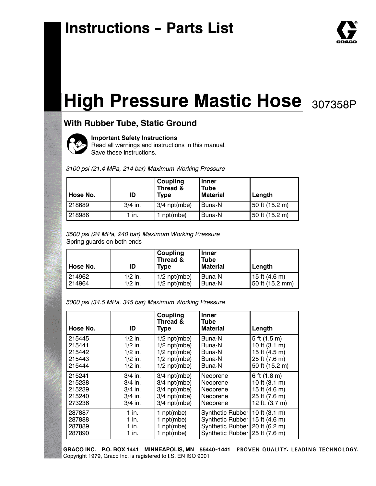# **Instructions - Parts List**



## **With Rubber Tube, Static Ground**



**Important Safety Instructions**

Read all warnings and instructions in this manual. Save these instructions.

*3100 psi (21.4 MPa, 214 bar) Maximum Working Pressure*

| Hose No. | ID        | <b>Coupling</b><br>Thread &<br><b>Type</b> | <b>Inner</b><br><b>Tube</b><br><b>Material</b> | Length         |
|----------|-----------|--------------------------------------------|------------------------------------------------|----------------|
| 218689   | $3/4$ in. | $3/4$ npt(mbe)                             | Buna-N                                         | 50 ft (15.2 m) |
| 218986   | $1$ in.   | npt(mbe)                                   | Buna-N                                         | 50 ft (15.2 m) |

*3500 psi (24 MPa, 240 bar) Maximum Working Pressure* Spring guards on both ends

| l Hose No. | ID        | <b>Coupling</b><br>Thread &<br><b>Type</b> | <b>Inner</b><br><b>Tube</b><br><b>Material</b> | Length          |
|------------|-----------|--------------------------------------------|------------------------------------------------|-----------------|
| 214962     | $1/2$ in. | $1/2$ npt(mbe)                             | <b>Buna-N</b>                                  | 15 ft $(4.6 m)$ |
| 214964     | $1/2$ in. | $1/2$ npt(mbe)                             | l Buna-N                                       | 50 ft (15.2 mm) |

*5000 psi (34.5 MPa, 345 bar) Maximum Working Pressure*

| Hose No. | ID        | Coupling<br>Thread &<br><b>Type</b> | <b>Inner</b><br>Tube<br><b>Material</b> | Length           |
|----------|-----------|-------------------------------------|-----------------------------------------|------------------|
| 215445   | $1/2$ in. | $1/2$ npt(mbe)                      | Buna-N                                  | $5$ ft $(1.5 m)$ |
| 215441   | $1/2$ in. | $1/2$ npt(mbe)                      | Buna-N                                  | 10 ft $(3.1 m)$  |
| 215442   | $1/2$ in. | $1/2$ npt(mbe)                      | Buna-N                                  | 15 ft (4.5 m)    |
| 215443   | $1/2$ in. | $1/2$ npt(mbe)                      | Buna-N                                  | 25 ft (7.6 m)    |
| 215444   | $1/2$ in. | $1/2$ npt(mbe)                      | Buna-N                                  | 50 ft (15.2 m)   |
| 215241   | $3/4$ in. | $3/4$ npt(mbe)                      | Neoprene                                | 6 ft (1.8 m)     |
| 215238   | $3/4$ in. | $3/4$ npt(mbe)                      | Neoprene                                | 10 ft $(3.1 m)$  |
| 215239   | $3/4$ in. | $3/4$ npt(mbe)                      | Neoprene                                | 15 ft (4.6 m)    |
| 215240   | $3/4$ in. | $3/4$ npt(mbe)                      | Neoprene                                | 25 ft (7.6 m)    |
| 273236   | $3/4$ in. | $3/4$ npt(mbe)                      | Neoprene                                | 12 ft. (3.7 m)   |
| 287887   | $1$ in.   | 1 $npt(mbe)$                        | Synthetic Rubber                        | 10 ft $(3.1 m)$  |
| 287888   | 1 in.     | 1 $npt(mbe)$                        | Synthetic Rubber                        | 15 ft (4.6 m)    |
| 287889   | 1 in.     | 1 npt(mbe)                          | Synthetic Rubber                        | 20 ft (6.2 m)    |
| 287890   | 1 in.     | 1 npt(mbe)                          | Synthetic Rubber                        | 25 ft (7.6 m)    |

GRACO INC. P.O. BOX 1441 MINNEAPOLIS, MN 55440-1441 PROVEN QUALITY. LEADING TECHNOLOGY. Copyright 1979, Graco Inc. is registered to I.S. EN ISO 9001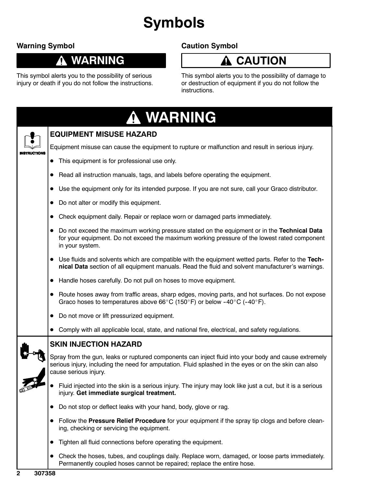# **Symbols**

## **Warning Symbol**

### **WARNING** Ţ

## **Caution Symbol**

### **CAUTION A**

This symbol alerts you to the possibility of serious injury or death if you do not follow the instructions. This symbol alerts you to the possibility of damage to or destruction of equipment if you do not follow the instructions.

| <b>A WARNING</b>                                                                                                                                                                                                                       |
|----------------------------------------------------------------------------------------------------------------------------------------------------------------------------------------------------------------------------------------|
| <b>EQUIPMENT MISUSE HAZARD</b>                                                                                                                                                                                                         |
| Equipment misuse can cause the equipment to rupture or malfunction and result in serious injury.                                                                                                                                       |
| This equipment is for professional use only.                                                                                                                                                                                           |
| Read all instruction manuals, tags, and labels before operating the equipment.<br>$\bullet$                                                                                                                                            |
| Use the equipment only for its intended purpose. If you are not sure, call your Graco distributor.<br>$\bullet$                                                                                                                        |
| Do not alter or modify this equipment.                                                                                                                                                                                                 |
| Check equipment daily. Repair or replace worn or damaged parts immediately.<br>$\bullet$                                                                                                                                               |
| Do not exceed the maximum working pressure stated on the equipment or in the Technical Data<br>for your equipment. Do not exceed the maximum working pressure of the lowest rated component<br>in your system.                         |
| Use fluids and solvents which are compatible with the equipment wetted parts. Refer to the Tech-<br>$\bullet$<br>nical Data section of all equipment manuals. Read the fluid and solvent manufacturer's warnings.                      |
| Handle hoses carefully. Do not pull on hoses to move equipment.                                                                                                                                                                        |
| Route hoses away from traffic areas, sharp edges, moving parts, and hot surfaces. Do not expose<br>Graco hoses to temperatures above 66°C (150°F) or below -40°C (-40°F).                                                              |
| Do not move or lift pressurized equipment.<br>$\bullet$                                                                                                                                                                                |
| Comply with all applicable local, state, and national fire, electrical, and safety regulations.                                                                                                                                        |
| <b>SKIN INJECTION HAZARD</b>                                                                                                                                                                                                           |
| Spray from the gun, leaks or ruptured components can inject fluid into your body and cause extremely<br>serious injury, including the need for amputation. Fluid splashed in the eyes or on the skin can also<br>cause serious injury. |
| Fluid injected into the skin is a serious injury. The injury may look like just a cut, but it is a serious<br>injury. Get immediate surgical treatment.                                                                                |
| Do not stop or deflect leaks with your hand, body, glove or rag.                                                                                                                                                                       |
| Follow the Pressure Relief Procedure for your equipment if the spray tip clogs and before clean-<br>ing, checking or servicing the equipment.                                                                                          |
| Tighten all fluid connections before operating the equipment.                                                                                                                                                                          |
| • Check the hoses, tubes, and couplings daily. Replace worn, damaged, or loose parts immediately.<br>Permanently coupled hoses cannot be repaired; replace the entire hose.                                                            |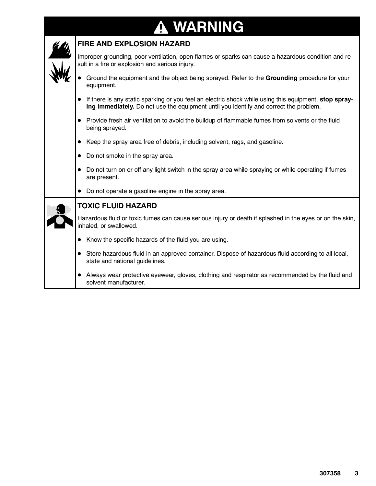# **WARNING**

| FIRE AND EXPLOSION HAZARD                                                                                                                                                                      |  |  |  |  |  |  |  |
|------------------------------------------------------------------------------------------------------------------------------------------------------------------------------------------------|--|--|--|--|--|--|--|
| Improper grounding, poor ventilation, open flames or sparks can cause a hazardous condition and re-<br>sult in a fire or explosion and serious injury.                                         |  |  |  |  |  |  |  |
| Ground the equipment and the object being sprayed. Refer to the Grounding procedure for your<br>equipment.                                                                                     |  |  |  |  |  |  |  |
| If there is any static sparking or you feel an electric shock while using this equipment, stop spray-<br>ing immediately. Do not use the equipment until you identify and correct the problem. |  |  |  |  |  |  |  |
| Provide fresh air ventilation to avoid the buildup of flammable fumes from solvents or the fluid<br>$\bullet$<br>being sprayed.                                                                |  |  |  |  |  |  |  |
| Keep the spray area free of debris, including solvent, rags, and gasoline.                                                                                                                     |  |  |  |  |  |  |  |
| Do not smoke in the spray area.<br>$\bullet$                                                                                                                                                   |  |  |  |  |  |  |  |
| Do not turn on or off any light switch in the spray area while spraying or while operating if fumes<br>are present.                                                                            |  |  |  |  |  |  |  |
| Do not operate a gasoline engine in the spray area.<br>$\bullet$                                                                                                                               |  |  |  |  |  |  |  |
| <b>TOXIC FLUID HAZARD</b>                                                                                                                                                                      |  |  |  |  |  |  |  |
| Hazardous fluid or toxic fumes can cause serious injury or death if splashed in the eyes or on the skin,<br>inhaled, or swallowed.                                                             |  |  |  |  |  |  |  |
| Know the specific hazards of the fluid you are using.<br>$\bullet$                                                                                                                             |  |  |  |  |  |  |  |
| Store hazardous fluid in an approved container. Dispose of hazardous fluid according to all local,<br>state and national guidelines.                                                           |  |  |  |  |  |  |  |
| Always wear protective eyewear, gloves, clothing and respirator as recommended by the fluid and<br>solvent manufacturer.                                                                       |  |  |  |  |  |  |  |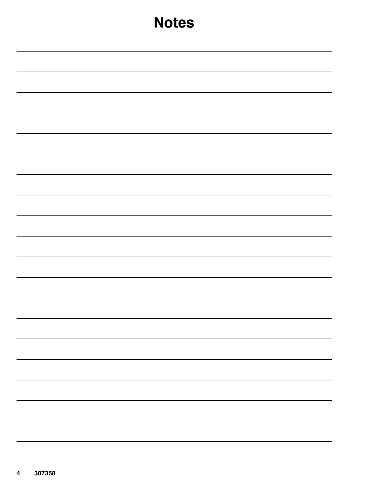| <b>Notes</b> |
|--------------|
|              |
|              |
|              |
|              |
|              |
|              |
|              |
|              |
|              |
|              |
|              |
|              |
|              |
|              |
|              |
|              |
|              |
|              |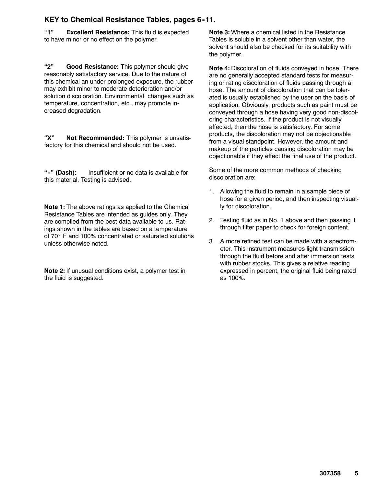### **KEY to Chemical Resistance Tables, pages 6--11.**

**"1" Excellent Resistance:** This fluid is expected to have minor or no effect on the polymer.

**"2" Good Resistance:** This polymer should give reasonably satisfactory service. Due to the nature of this chemical an under prolonged exposure, the rubber may exhibit minor to moderate deterioration and/or solution discoloration. Environmental changes such as temperature, concentration, etc., may promote increased degradation.

**"X" Not Recommended:** This polymer is unsatisfactory for this chemical and should not be used.

**"--" (Dash):** Insufficient or no data is available for this material. Testing is advised.

**Note 1:** The above ratings as applied to the Chemical Resistance Tables are intended as guides only. They are compiled from the best data available to us. Ratings shown in the tables are based on a temperature of 70° F and 100% concentrated or saturated solutions unless otherwise noted.

**Note 2:** If unusual conditions exist, a polymer test in the fluid is suggested.

**Note 3:** Where a chemical listed in the Resistance Tables is soluble in a solvent other than water, the solvent should also be checked for its suitability with the polymer.

**Note 4:** Discoloration of fluids conveyed in hose. There are no generally accepted standard tests for measuring or rating discoloration of fluids passing through a hose. The amount of discoloration that can be tolerated is usually established by the user on the basis of application. Obviously, products such as paint must be conveyed through a hose having very good non-discoloring characteristics. If the product is not visually affected, then the hose is satisfactory. For some products, the discoloration may not be objectionable from a visual standpoint. However, the amount and makeup of the particles causing discoloration may be objectionable if they effect the final use of the product.

Some of the more common methods of checking discoloration are:

- 1. Allowing the fluid to remain in a sample piece of hose for a given period, and then inspecting visually for discoloration.
- 2. Testing fluid as in No. 1 above and then passing it through filter paper to check for foreign content.
- 3. A more refined test can be made with a spectrometer. This instrument measures light transmission through the fluid before and after immersion tests with rubber stocks. This gives a relative reading expressed in percent, the original fluid being rated as 100%.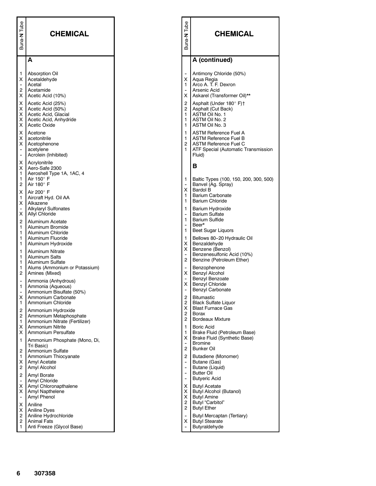| Buna-N Tube                                                   | <b>CHEMICAL</b>                                                                                                  | Buna-N Tube                                                                              | <b>CHEMICAL</b>                                                                                                                        |
|---------------------------------------------------------------|------------------------------------------------------------------------------------------------------------------|------------------------------------------------------------------------------------------|----------------------------------------------------------------------------------------------------------------------------------------|
|                                                               | A                                                                                                                |                                                                                          | A (continued)                                                                                                                          |
| 1<br>х<br>$\qquad \qquad \blacksquare$<br>$\overline{c}$<br>х | <b>Absorption Oil</b><br>Acetaldehyde<br>Acetal<br>Acetamide<br>Acetic Acid (10%)                                | X<br>1<br>X                                                                              | Antimony Chloride (50%)<br>Aqua Regia<br>Arco A. T. F. Dexron<br>Arsenic Acid<br>Askarel (Transformer Oil)**                           |
| х<br>х<br>х<br>х<br>х                                         | Acetic Acid (25%)<br>Acetic Acid (50%)<br>Acetic Acid, Glacial<br>Acetic Acid, Anhydride<br>Acetic Oxide         | 2<br>$\overline{2}$<br>1<br>$\mathbf{1}$<br>1                                            | Asphalt (Under 180° F) <sup>+</sup><br>Asphalt (Cut Back)<br>ASTM Oil No. 1<br>ASTM Oil No. 2<br>ASTM Oil No. 3                        |
| х<br>х<br>х<br>$\overline{\phantom{a}}$<br>$\overline{a}$     | Acetone<br>acetonitrile<br>Acetophenone<br>acetylene<br>Acrolein (Inhibited)                                     | 1<br>1<br>$\overline{c}$<br>1                                                            | ASTM Reference Fuel A<br><b>ASTM Reference Fuel B</b><br><b>ASTM Reference Fuel C</b><br>ATF Special (Automatic Transmission<br>Fluid) |
| х<br>х<br>1                                                   | Acrylonitrile<br>Aero-Safe 2300<br>Aeroshell Type 1A, 1AC, 4                                                     |                                                                                          | в                                                                                                                                      |
| 1<br>2<br>х                                                   | Air 150 $^{\circ}$ F<br>Air 180 $^{\circ}$ F<br>Air 200° F                                                       | 1<br>X<br>1                                                                              | Baltic Types (100, 150, 200, 300, 500)<br>Banvel (Ag. Spray)<br><b>Bardol B</b><br><b>Barium Carbonate</b>                             |
| $\mathbf{1}$<br>х<br>-<br>х                                   | Aircraft Hyd. Oil AA<br>Alkazene<br><b>Alkylaryl Sulfonates</b><br>Allyl Chloride                                | $\mathbf{1}$<br>1<br>$\frac{1}{2}$                                                       | <b>Barium Chloride</b><br>Barium Hydroxide<br><b>Barium Sulfate</b>                                                                    |
| $\overline{c}$<br>1<br>1<br>1                                 | Aluminum Acetate<br>Aluminum Bromide<br>Aluminum Chloride<br>Aluminum Fluoride                                   | $\mathbf{1}$<br>$\overline{\phantom{a}}$<br>$\mathbf{1}$<br>$\mathbf{1}$                 | <b>Barium Sulfide</b><br>Beer*<br><b>Beet Sugar Liquors</b><br>Bellows 80-20 Hydraulic Oil                                             |
| $\mathbf{1}$<br>1<br>1                                        | Aluminum Hydroxide<br><b>Aluminum Nitrate</b><br><b>Aluminum Salts</b>                                           | X<br>X.<br>$\overline{\phantom{a}}$<br>$\overline{2}$                                    | Benzaldehyde<br>Benzene (Benzol)<br>Benzenesulfonic Acid (10%)<br>Benzine (Petroleum Ether)                                            |
| 1<br>1<br>$\overline{c}$                                      | Aluminum Sulfate<br>Alums (Ammonium or Potassium)<br>Amines (Mixed)                                              | X                                                                                        | Benzophenone<br><b>Benzyl Alcohol</b>                                                                                                  |
| $\overline{a}$<br>1<br>۰<br>х                                 | Ammonia (Anhydrous)<br>Ammonia (Aqueous)<br>Ammonium Bisulfate (50%)<br>Ammonium Carbonate                       | $\overline{\phantom{a}}$<br>X<br>2                                                       | Benzyl Benzoate<br><b>Benzyl Chloride</b><br><b>Benzyl Carbonate</b><br><b>Bitumastic</b>                                              |
| $\mathbf{1}$<br>2<br>2                                        | Ammonium Chloride<br>Ammonium Hydroxide<br>Ammonium Metaphosphate                                                | $\overline{2}$<br>X.<br>$\overline{2}$<br>$\overline{2}$                                 | <b>Black Sulfate Liquor</b><br><b>Blast Furnace Gas</b><br><b>Borax</b><br><b>Bordeaux Mixture</b>                                     |
| 1<br>х<br>X<br>$\mathbf{1}$                                   | Ammonium Nitrate (Fertilizer)<br><b>Ammonium Nitrite</b><br>Ammonium Persulfate<br>Ammonium Phosphate (Mono, Di, | $\mathbf{1}$<br>$\mathbf{1}$<br>X.                                                       | Boric Acid<br>Brake Fluid (Petroleum Base)<br>Brake Fluid (Synthetic Base)                                                             |
| 2<br>1<br>х                                                   | Tri Basic)<br>Ammonium Sulfate<br>Ammonium Thiocyanate<br>Amyl Acetate                                           | $\overline{\phantom{a}}$<br>$\overline{2}$<br>$\overline{2}$<br>$\overline{\phantom{a}}$ | <b>Bromine</b><br><b>Bunker Oil</b><br>Butadiene (Monomer)<br>Butane (Gas)                                                             |
| 2<br>$\boldsymbol{2}$                                         | Amyl Alcohol<br>Amyl Borate                                                                                      | $\overline{\phantom{a}}$<br>$\overline{\phantom{a}}$                                     | Butane (Liquid)<br><b>Butter Oil</b><br>Butyeric Acid                                                                                  |
| $\ddot{\phantom{0}}$<br>х<br>Х<br>$\qquad \qquad \bullet$     | Amyl Chloride<br>Amyl Chloronapthalene<br>Amyl Napthelene<br>Amyl Phenol                                         | X.<br>X<br>X.                                                                            | <b>Butyl Acetate</b><br><b>Butyl Alcohol (Butanol)</b><br><b>Butyl Amine</b>                                                           |
| X<br>X<br>$\boldsymbol{2}$<br>$\overline{c}$                  | Aniline<br><b>Aniline Dyes</b><br>Aniline Hydrochloride<br><b>Animal Fats</b>                                    | $\overline{2}$<br>$\overline{2}$<br>X                                                    | Butyl "Carbitol"<br><b>Butyl Ether</b><br>Butyl Mercaptan (Tertiary)<br><b>Butyl Stearate</b>                                          |
| $\mathbf{1}$                                                  | Anti Freeze (Glycol Base)                                                                                        |                                                                                          | Butyraldehyde                                                                                                                          |
|                                                               |                                                                                                                  |                                                                                          |                                                                                                                                        |
| 6                                                             | 307358                                                                                                           |                                                                                          |                                                                                                                                        |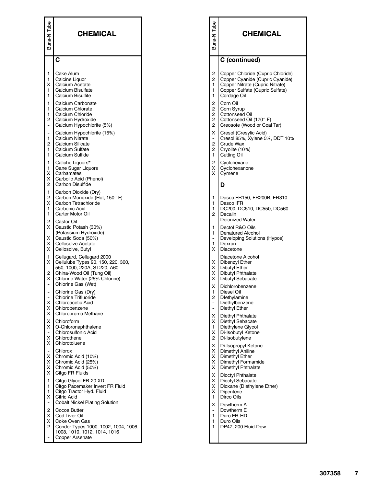| Tube<br>Buna-N                                                         | <b>CHEMICAL</b>                                                                                                                                                                           | Tube<br>Buna-N                                                                                                               | <b>CHEMICAL</b>                                                                                                                                                                                                                  |
|------------------------------------------------------------------------|-------------------------------------------------------------------------------------------------------------------------------------------------------------------------------------------|------------------------------------------------------------------------------------------------------------------------------|----------------------------------------------------------------------------------------------------------------------------------------------------------------------------------------------------------------------------------|
|                                                                        | C                                                                                                                                                                                         |                                                                                                                              | C (continued)                                                                                                                                                                                                                    |
| 1<br>1<br>ΧI<br>1<br>1<br>1<br>1<br>1<br>2<br>$\overline{\phantom{a}}$ | Cake Alum<br>Calcine Liquor<br>Calcium Acetate<br>Calcium Bisulfate<br>Calcium Bisulfite<br>Calcium Carbonate<br>Calcium Chlorate<br>Calcium Chloride<br>Calcium Hydroxide                | $\overline{c}$<br>$\overline{2}$<br>1<br>1<br>1<br>2<br>$\overline{2}$<br>$\overline{2}$<br>$\overline{2}$<br>$\overline{2}$ | Copper Chloride (Cupric Chloride)<br>Copper Cyanide (Cupric Cyanide)<br>Copper Nitrate (Cupric Nitrate)<br>Copper Sulfate (Cupric Sulfate)<br>Cordage Oil<br>Corn Oil<br>Corn Syrup<br>Cottonseed Oil<br>Cottonseed Oil (170° F) |
| ۰<br>1<br>2<br>1<br>1                                                  | Calcium Hypochlorite (5%)<br>Calcium Hypochlorite (15%)<br>Calcium Nitrate<br>Calcium Silicate<br>Calcium Sulfate<br>Calcium Sulfide                                                      | X<br>$\hat{\phantom{a}}$<br>$\overline{c}$<br>$\overline{c}$<br>1                                                            | Creosote (Wood or Coal Tar)<br>Cresol (Cresylic Acid)<br>Cresol 85%, Xylene 5%, DDT 10%<br>Crude Wax<br>Cryolite (10%)<br>Cutting Oil                                                                                            |
| 1<br>1<br>х<br>x<br>2                                                  | Caliche Liquors*<br>Cane Sugar Liquors<br>Carbamates<br>Carbolic Acid (Phenol)<br>Carbon Disulfide                                                                                        | $\overline{2}$<br>X.<br>X.                                                                                                   | Cyclohexane<br>Cyclohexanone<br>Cymene<br>D                                                                                                                                                                                      |
| 1<br>2<br>X<br>1<br>1                                                  | Carbon Dioxide (Dry)<br>Carbon Monoxide (Hot, 150° F)<br>Carbon Tetrachloride<br>Carbonic Acid<br>Carter Motor Oil                                                                        | 1<br>1<br>1<br>$\overline{2}$                                                                                                | Dasco FR150, FR200B, FR310<br>Dasco IFR<br>DC200, DC510, DC550, DC560<br>Decalin<br><b>Deionized Water</b>                                                                                                                       |
| 2<br>ΧI<br>ΧI<br>X.<br>X                                               | Castor Oil<br>Caustic Potash (30%)<br>(Potassium Hydroxide)<br>Caustic Soda (50%)<br>Cellosolve Acetate<br>Cellosolve, Butyl                                                              | 1<br>1<br>$\overline{a}$<br>1<br>X.                                                                                          | Dectol R&O Oils<br>Denatured Alcohol<br>Developing Solutions (Hypos)<br>Dexron<br>Diacetone                                                                                                                                      |
| 1<br>ΧI<br>2<br>х                                                      | Cellugard, Cellugard 2000<br>Cellulube Types 90, 150, 220, 300,<br>550, 1000, 220A, ST220, A60<br>China-Wood Oil (Tung Oil)<br>Chlorine Water (25% Chlorine)<br>Chlorine Gas (Wet)        | X.<br>X.<br>X<br>X                                                                                                           | Diacetone Alcohol<br>Dibenzyl Ether<br><b>Dibutyl Ether</b><br>Dibutyl Phthalate<br>Dibutyl Sebacate                                                                                                                             |
| -<br>$\overline{\phantom{a}}$<br>X I<br>ΧI<br>ΧI                       | Chlorine Gas (Dry)<br><b>Chlorine Trifluoride</b><br>Chloroacetic Acid<br>Chlorobenzene<br>Chlorobromo Methane                                                                            | х<br>ı<br>2<br>$\ddot{\phantom{1}}$                                                                                          | Dichlorobenzene<br>Diesel Oil<br>Dlethylamine<br>Diethylbenzene<br>Diethyl Ether                                                                                                                                                 |
| X I<br>ΧI<br>۰<br>X.<br>X.                                             | Chloroform<br>O-Chloronaphthalene<br>Chlorosulfonic Acid<br>Chlorothene<br>Chlorotoluene                                                                                                  | X<br>X.<br>1.<br>X.<br>$\overline{2}$                                                                                        | Diethyl Phthalate<br>Diethyl Sebacate<br>Diethylene Glycol<br>Di-Isobutyl Ketone<br>Di-Isobutylene                                                                                                                               |
| ΧI<br>X.<br>ΧI<br>ΧI                                                   | Chlorox<br>Chromic Acid (10%)<br>Chromic Acid (25%)<br>Chromic Acid (50%)<br>Citgo FR Fluids                                                                                              | X<br>X.<br>X<br>X.<br>X.                                                                                                     | Di-Isopropyl Ketone<br>Dimethyl Aniline<br>Dimethyl Ether<br>Dimethyl Formamide<br>Dimethyl Phthalate                                                                                                                            |
| 1<br>1<br>1<br>$\times$                                                | Citgo Glycol FR-20 XD<br>Citgo Pacemaker Invert FR Fluid<br>Citgo Tractor Hyd. Fluid<br>Citric Acid                                                                                       | X<br>X<br>X<br>X.<br>1                                                                                                       | Dioctyl Phthalate<br>Dioctyl Sebacate<br>Dioxane (Diethylene Ether)<br>Dipentene<br>Dirco Oils                                                                                                                                   |
| $\overline{\phantom{m}}$<br>2<br>X I<br>X I<br>$\overline{2}$          | <b>Cobalt Nickel Plating Solution</b><br>Cocoa Butter<br>Cod Liver Oil<br>Coke Oven Gas<br>Condor Types 1000, 1002, 1004, 1006,<br>1008, 1010, 1012, 1014, 1016<br><b>Copper Arsenate</b> | X<br>$\overline{\phantom{a}}$<br>1.<br>1<br>1                                                                                | Dowtherm A<br>Dowtherm E<br>Duro FR-HD<br>Duro Oils<br>DP47, 200 Fluid-Dow                                                                                                                                                       |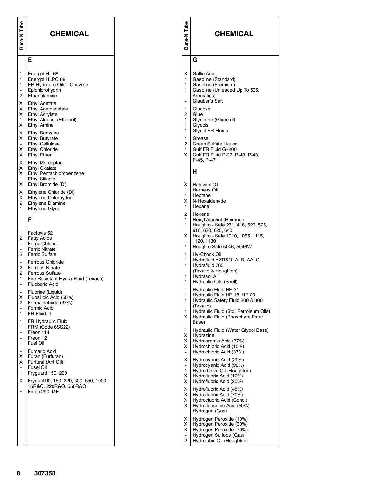| Buna-N Tube                                                                                                                                     | <b>CHEMICAL</b>                                                                                                                                                                                                                                                                                                                                                                                                                           | Tube<br>Buna-N                                                                                                    | <b>CHEMICAL</b>                                                                                                                                                                                                                                                                                                          |
|-------------------------------------------------------------------------------------------------------------------------------------------------|-------------------------------------------------------------------------------------------------------------------------------------------------------------------------------------------------------------------------------------------------------------------------------------------------------------------------------------------------------------------------------------------------------------------------------------------|-------------------------------------------------------------------------------------------------------------------|--------------------------------------------------------------------------------------------------------------------------------------------------------------------------------------------------------------------------------------------------------------------------------------------------------------------------|
|                                                                                                                                                 | Е                                                                                                                                                                                                                                                                                                                                                                                                                                         |                                                                                                                   | G                                                                                                                                                                                                                                                                                                                        |
| 1<br>1<br>1<br>$\overline{\phantom{a}}$<br>2<br>X<br>X I<br>x I<br>1<br>X<br>X<br>X I<br>$\ddot{\phantom{0}}$<br>$\times$<br>X<br>X<br>X.<br>X. | Energol HL 68<br>Energol HLPC 68<br>EP Hydraulic Oils - Chevron<br>Epichlorohydrin<br>Ethanolamine<br><b>Ethyl Acetate</b><br><b>Ethyl Acetoacetate</b><br><b>Ethyl Acrylate</b><br>Ethyl Alcohol (Ethanol)<br><b>Ethyl Amine</b><br><b>Ethyl Benzene</b><br><b>Ethyl Butyrate</b><br><b>Ethyl Cellulose</b><br><b>Ethyl Chloride</b><br><b>Ethyl Ether</b><br><b>Ethyl Mercaptan</b><br><b>Ethyl Oxalate</b><br>Ethyl Pentachlorobenzene | X.<br>$\mathbf{1}$<br>1.<br>$\mathbf{1}$<br>1<br>$\overline{c}$<br>1<br>1<br>1.<br>1<br>$\overline{2}$<br>1<br>X. | Gallic Acid<br>Gasoline (Standard)<br>Gasoline (Premium)<br>Gasoline (Unleaded Up To 50&<br>Aromatics)<br>Glauber's Salt<br>Glucose<br>Glue<br>Glycerine (Glycerol)<br>Glycols<br><b>Glycol FR Fluids</b><br>Grease<br>Green Sulfate Liquor<br>Gulf FR Fluid G-200<br>Gulf FR Fluid P-37, P-40, P-43,<br>P-45, P-47<br>н |
| 1<br>X<br>X<br>X.<br>$\overline{2}$                                                                                                             | <b>Ethyl Silicate</b><br>Ethyl Bromide (Di)<br>Ethylene Chloride (Di)<br>Ethylene Chlorhydrin<br><b>Ethylene Diamine</b>                                                                                                                                                                                                                                                                                                                  | X.<br>1.<br>1.<br>X.                                                                                              | Halowax Oil<br>Harness Oil<br>Heptane<br>N-Hexaldehyde                                                                                                                                                                                                                                                                   |
| 1                                                                                                                                               | Ethylene Glycol<br>F                                                                                                                                                                                                                                                                                                                                                                                                                      | 1<br>$\overline{2}$<br>1                                                                                          | Hexane<br>Hexene<br>Hexyl Alcohol (Hexanol)                                                                                                                                                                                                                                                                              |
| 1<br>2<br>۰<br>$\mathbf{2}$<br>$\overline{\phantom{a}}$<br>2<br>2                                                                               | Factovis 52<br><b>Fatty Acids</b><br><b>Ferric Chloride</b><br><b>Ferric Nitrate</b><br><b>Ferric Sulfate</b><br><b>Ferrous Chloride</b><br><b>Ferrous Nitrate</b><br><b>Ferrous Sulfate</b>                                                                                                                                                                                                                                              | X.<br>1.<br>1<br>1.<br>1.                                                                                         | Houghto - Safe 271, 416, 520, 525,<br>616, 620, 625, 640<br>Houghto - Safe 1010, 1055, 1115,<br>1120, 1130<br>Houghto Safe 5046, 5046W<br>Hy-Chock Oil<br>Hydrafluid AZR&O, A, B, AA, C<br>Hydrafluid 760<br>(Texaco & Houghton)                                                                                         |
| 1<br>٠<br>X<br>$\overline{c}$<br>1<br>1                                                                                                         | Fire Resistant Hydra-Fluid (Texaco)<br><b>Fluoboric Acid</b><br>Fluorine (Liquid)<br>Fluosilicic Acid (50%)<br>Formaldehyde (37%)<br>Formic Acid<br>FR Fluid D<br><b>FR Hydraulic Fluid</b>                                                                                                                                                                                                                                               | 1.<br>1.<br>1<br>1<br>1<br>X.                                                                                     | Hydrasol A<br>Hydraulic Oils (Shell)<br><b>Hydraulic Fluid HF-31</b><br>Hydraulic Fluid HF-18, HF-20<br>Hydraulic Safety Fluid 200 & 300<br>(Texaco)<br>Hydraulic Fluid (Std. Petroleum Oils)<br>Hydraulic Fluid (Phosphate Ester<br>Base)                                                                               |
| 1<br>$\overline{\phantom{a}}$<br>1                                                                                                              | FRM (Code 6SS22)<br>Freon 114<br>Freon 12<br>Fuel Oil<br><b>Fumaric Acid</b>                                                                                                                                                                                                                                                                                                                                                              | 1<br>X.<br>X<br>X.                                                                                                | Hydraulic Fluid (Water Glycol Base)<br>Hydrazine<br>Hydrobromic Acid (37%)<br>Hydrochloric Acid (15%)<br>Hydrochloric Acid (37%)                                                                                                                                                                                         |
| х<br>X<br>1<br>X                                                                                                                                | Furan (Furfuran)<br>Furfural (Ant Oil)<br>Fusel Oil<br>Fryguard 150, 200<br>Fryquel 90, 150, 220, 300, 550, 1000,<br>15R&O, 220R&O, 550R&O                                                                                                                                                                                                                                                                                                | X.<br>1<br>X.<br>X.                                                                                               | Hydrocyanic Acid (20%)<br>Hydrocyanic Acid (98%)<br>Hydro-Drive Oil (Houghton)<br>Hydrofluoric Acid (10%)<br>Hydrofluoric Acid (20%)                                                                                                                                                                                     |
| $\overline{\phantom{a}}$                                                                                                                        | Firtec 290, MF                                                                                                                                                                                                                                                                                                                                                                                                                            | X.<br>X.<br>X.<br>X.                                                                                              | Hydrofluoric Acid (48%)<br>Hydrofluoric Acid (70%)<br>Hydrocluoric Acid (Conc.)<br>Hydrofluosilicic Acid (50%)<br>Hydrogen (Gas)                                                                                                                                                                                         |
|                                                                                                                                                 |                                                                                                                                                                                                                                                                                                                                                                                                                                           | X.<br>X.<br>X<br>2                                                                                                | Hydrogen Peroxide (10%)<br>Hydrogen Peroxide (30%)<br>Hydrogen Peroxide (70%)<br>Hydrogen Sulfode (Gas)<br>Hydrolubic Oil (Houghton)                                                                                                                                                                                     |
| 8                                                                                                                                               | 307358                                                                                                                                                                                                                                                                                                                                                                                                                                    |                                                                                                                   |                                                                                                                                                                                                                                                                                                                          |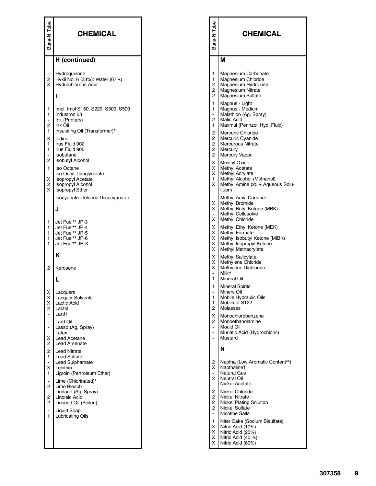| Tube<br>Buna-N                                                                           | <b>CHEMICAL</b>                                                                                                                                                                                       | Tube<br>Buna-N                                                                                                                                             | <b>CHEMICAL</b>                                                                                                                                                                                           |
|------------------------------------------------------------------------------------------|-------------------------------------------------------------------------------------------------------------------------------------------------------------------------------------------------------|------------------------------------------------------------------------------------------------------------------------------------------------------------|-----------------------------------------------------------------------------------------------------------------------------------------------------------------------------------------------------------|
|                                                                                          | H (continued)                                                                                                                                                                                         |                                                                                                                                                            | Μ                                                                                                                                                                                                         |
| -<br>2<br>X                                                                              | Hydroquinone<br>Hykil No. 6 (33%): Water (67%)<br><b>Hydrochlorous Acid</b>                                                                                                                           | 1<br>$\mathbf{1}$<br>$\overline{c}$<br>$\overline{2}$<br>$\overline{c}$                                                                                    | Magnesium Carbonate<br>Magnesium Chloride<br>Magnesium Hydroxide<br>Magnesium Nitrate<br><b>Magnesium Sulfate</b>                                                                                         |
| 1<br>1<br>$\ddot{\phantom{0}}$<br>2<br>1<br>х<br>1<br>1<br>$\overline{\phantom{0}}$<br>2 | Imol. Imol S150, S220, S300, S500<br>Industron 53<br>Ink (Printers)<br>Ink Oil<br>Insulating Oil (Transformer)*<br>lodine<br>Irus Fluid 902<br>Irus Fluid 905<br>Isobutane<br><b>Isobutyl Alcohol</b> | 1<br>1<br>$\ddot{\phantom{0}}$<br>$\overline{2}$<br>$\mathbf{1}$<br>$\overline{c}$<br>$\overline{2}$<br>$\overline{c}$<br>$\overline{2}$<br>$\overline{2}$ | Magnus - Light<br>Magnus - Medium<br>Malathion (Ag. Spray)<br>Malic Acid<br>Maxmul (Pennzoil Hyd. Fluid)<br>Mercuric Chloride<br>Mercuric Cyanide<br><b>Mercurous Nitrate</b><br>Mercury<br>Mercury Vapor |
| 1<br>-<br>Χ<br>2<br>X                                                                    | <b>Iso Octane</b><br>Iso Octyl Thioglycolate<br>Isopropyl Acetate<br>Isopropyl Alcohol<br><b>Isopropyl Ether</b>                                                                                      | $\times$<br>$\times$ 1<br>$\times$<br>1.<br>X.                                                                                                             | Mesityl Oxide<br>Methyl Acetate<br>Methyl Acrylate<br>Methyl Alcohol (Methanol)<br>Methyl Amine (25% Aqueous Solu-<br>tiuon)                                                                              |
| -                                                                                        | Isocyanate (Toluene Diisocyanate)<br>J                                                                                                                                                                | $\times$<br>$\times$ 1<br>$\times$                                                                                                                         | Methyl Amyl Carbinol<br>Methyl Bromide<br>Methyl Butyl Ketone (MBK)<br>Methyl Cellosolve<br><b>Methyl Chloride</b>                                                                                        |
| 1<br>1<br>1<br>1<br>1                                                                    | Jet Fuel** JP-3<br>Jet Fuel** JP-4<br>Jet Fuel** JP-5<br>Jet Fuel** JP-6<br>Jet Fuel** JP-X                                                                                                           | $\times$<br>$\times$<br>$\times$ 1<br>$\times$<br>$\times$ 1                                                                                               | Methyl Ethyl Ketone (MEK)<br>Methyl Formate<br>Methyl Isobutyl Ketone (MIBK)<br>Methyl Isopropyl Ketone<br>Methyl Methacrylate                                                                            |
| 2                                                                                        | Κ<br>Kerosene<br>L                                                                                                                                                                                    | $\times$<br>$\times$<br>X<br>$\overline{a}$<br>1                                                                                                           | Methyl Salicylate<br>Methylene Chloride<br>Methylene Dichloride<br>Milk†<br>Mineral Oil                                                                                                                   |
| x<br>Х<br>X<br>2                                                                         | Lacquers<br><b>Lacquer Solvents</b><br>Lactic Acid<br>Lactol                                                                                                                                          | 1<br>1<br>1<br>2                                                                                                                                           | <b>Mineral Spirits</b><br>Miners Oil<br>Mobile Hydraulic Oils<br>Mobilmet S122<br>Molasses                                                                                                                |
| -<br>$\frac{1}{2}$<br>-<br>-<br>X<br>2                                                   | Lard†<br>Lard Oil<br>Lasso (Ag. Spray)<br>Latex<br>Lead Acetane<br><b>Lead Arsenate</b>                                                                                                               | X<br>$\overline{2}$<br>$\ddot{\phantom{0}}$                                                                                                                | Monochlorobenzene<br>Monoethanolamine<br>Mould Oil<br>Muriatic Acid (Hydrochloric)<br>Mustard                                                                                                             |
| 2<br>1<br>-<br>X<br>1<br>-<br>2                                                          | <b>Lead Nitrate</b><br><b>Lead Sulfate</b><br>Lead Sulphamate<br>Lecithin<br>Ligroin (Pertroleum Ether)<br>Lime (Chlorinated)*<br>Lime Bleach                                                         | 2<br>х<br>$\overline{\phantom{a}}$<br>$\overline{2}$                                                                                                       | N<br>Naptha (Low Aromatic Content**)<br>Napthaline <sup>+</sup><br><b>Natural Gas</b><br>Neutral Oil<br>Nickel Acetate                                                                                    |
| $\qquad \qquad \bullet$<br>2<br>2<br>-<br>1                                              | Lindane (Ag. Spray)<br>Linoleic Acid<br>Linseed Oil (Boiled)<br>Liquid Soap<br><b>Lubricating Oils</b>                                                                                                | $\overline{2}$<br>2<br>$\overline{2}$<br>$\overline{2}$<br>$\overline{\phantom{a}}$                                                                        | <b>Nickel Chloride</b><br><b>Nickel Nitrate</b><br><b>Nickel Plating Solution</b><br><b>Nickel Sulfate</b><br>Nicotine Salts                                                                              |
|                                                                                          |                                                                                                                                                                                                       | 1 <sup>1</sup><br>ΧI<br>X I<br>$\times$ 1<br>ΧI                                                                                                            | Niter Cake (Sodium Bisulfate)<br>Nitric Acid (10%)<br>Nitric Acid (25%)<br>Nitric Acid (40 %)<br>Nitric Acid (60%)                                                                                        |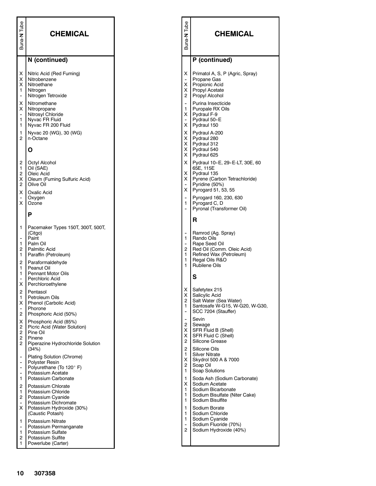| Buna-N<br>Tube                                                                             | <b>CHEMICAL</b>                                                                                                                                                                        | Buna-N Tube                                                                                                          | <b>CHEMICAL</b>                                                                                                                                                                                                                   |
|--------------------------------------------------------------------------------------------|----------------------------------------------------------------------------------------------------------------------------------------------------------------------------------------|----------------------------------------------------------------------------------------------------------------------|-----------------------------------------------------------------------------------------------------------------------------------------------------------------------------------------------------------------------------------|
|                                                                                            | N (continued)                                                                                                                                                                          |                                                                                                                      | P (continued)                                                                                                                                                                                                                     |
| х<br>х<br>X<br>1<br>$\qquad \qquad \bullet$<br>х<br>Х<br>$\ddot{\phantom{0}}$<br>1<br>1    | Nitric Acid (Red Fuming)<br>Nitrobenzene<br>Nitroethane<br>Nitrogen<br>Nitrogen Tetroxide<br>Nitromethane<br>Nitropropane<br>Nitrosyl Chloride<br>Nyvac FR Fluid<br>Nyvac FR 200 Fluid | X I<br>$\overline{\phantom{a}}$<br>ΧI<br>$\times$ 1<br>2 <sup>1</sup><br>1<br>$\times$ 1<br>$\overline{\phantom{a}}$ | Primatol A, S, P (Agric, Spray)<br>Propane Gas<br>Propionic Acid<br><b>Propyl Acetate</b><br>Propyl Alcohol<br>Purina Insecticide<br>Puropale RX Oils<br>Pydraul F-9<br>Pydraul 50-E<br>X Pydraul 150                             |
| 1<br>$\overline{2}$                                                                        | Nyvac 20 (WG), 30 (WG)<br>n-Octane<br>Ο                                                                                                                                                | $\times$ 1<br>$\times$ 1<br>$\times$ 1                                                                               | Pydraul A-200<br>Pydraul 280<br>Pydraul 312<br>X Pydraul 540                                                                                                                                                                      |
| 2<br>$\mathbf{1}$<br>2<br>х<br>2<br>х<br>$\overline{\phantom{a}}$<br>X                     | Octyl Alcohol<br>Oil (SAE)<br>Oleic Acid<br>Oleum (Fuming Sulfuric Acid)<br>Olive Oil<br>Oxalic Acid<br>Oxygen<br>Ozone                                                                | $\times$ 1<br>$\times$ 1<br>$\overline{a}$<br>1<br>$\ddot{\phantom{0}}$                                              | X Pydraul 625<br>Pydraul 10-E, 29-E-LT, 30E, 60<br>65E, 115E<br>Pydraul 135<br>X Pyrene (Carbon Tetrachloride)<br>Pyridine (50%)<br>X Pyrogard 51, 53, 55<br>Pyrogard 160, 230, 630<br>Pyrogard C, D<br>Pyronal (Transformer Oil) |
|                                                                                            | P                                                                                                                                                                                      |                                                                                                                      | R                                                                                                                                                                                                                                 |
| $\mathbf{1}$<br>$\overline{a}$<br>1<br>2<br>1<br>2<br>1                                    | Pacemaker Types 150T, 300T, 500T,<br>(Citgo)<br>Paint<br>Palm Oil<br>Palmitic Acid<br>Paraffin (Petroleum)<br>Paraformaldehyde<br>Peanut Oil                                           | $\overline{\phantom{a}}$<br>1<br>$\overline{c}$<br>1<br>1<br>1                                                       | Ramrod (Ag. Spray)<br>Rando Oils<br>Rape Seed Oil<br>Red Oil (Comm. Oleic Acid)<br>Refined Wax (Petroleum)<br>Regal Oils R&O<br><b>Rubilene Oils</b>                                                                              |
| 1<br>$\overline{a}$<br>х                                                                   | <b>Pennant Motor Oils</b><br>Perchloric Acid<br>Perchloroethylene                                                                                                                      |                                                                                                                      | $\mathbf s$                                                                                                                                                                                                                       |
| $\overline{2}$<br>1<br>х<br>$\overline{\phantom{a}}$<br>2                                  | Pentasol<br>Petroleum Oils<br>Phenol (Carbolic Acid)<br>Phorone<br>Phosphoric Acid (50%)                                                                                               | х<br>Χ<br>$\overline{c}$<br>1<br>$\overline{a}$                                                                      | Safetytex 215<br>Salicylic Acid<br>Salt Water (Sea Water)<br>Santosafe W-G15, W-G20, W-G30,<br>SCC 7204 (Stauffer)                                                                                                                |
| х<br>2<br>$\overline{c}$<br>$\overline{c}$<br>$\overline{2}$                               | Phosphoric Acid (85%)<br>Picric Acid (Water Solution)<br>Pine Oil<br>Pinene<br>Piperazine Hydrochloride Solution                                                                       | $\overline{\phantom{a}}$<br>2<br>ΧI<br>ΧI<br>$\overline{2}$                                                          | Sevin<br>Sewage<br>SFR Fluid B (Shell)<br>SFR Fluid C (Shell)<br>Silicone Grease                                                                                                                                                  |
| $\overline{\phantom{a}}$<br>$\overline{\phantom{a}}$<br>$\overline{\phantom{a}}$<br>۰<br>1 | (34%)<br>Plating Solution (Chrome)<br>Polyster Resin<br>Polyurethane (To 120° F)<br>Potassium Acetate<br>Potassium Carbonate                                                           | $\overline{2}$<br>1<br>$\times$ 1<br>$\overline{2}$<br>1<br>$\mathbf{1}$                                             | Silicone Oils<br><b>Silver Nitrate</b><br>Skydrol 500 A & 7000<br>Soap Oil<br>Soap Solutions<br>Soda Ash (Sodium Carbonate)                                                                                                       |
| 2<br>$\mathbf{1}$<br>2<br>х                                                                | Potassium Chlorate<br>Potassium Chloride<br>Potassium Cyanide<br>Potassium Dichromate<br>Potassium Hydroxide (30%)                                                                     | X.<br>$\mathbf{1}$<br>1<br>1<br>1                                                                                    | Sodium Acetate<br>Sodium Bicarbonate<br>Sodium Bisulfate (Niter Cake)<br>Sodium Bisulfite<br>Sodium Borate                                                                                                                        |
| 1<br>$\overline{\phantom{a}}$<br>1<br>2<br>1                                               | (Caustic Potash)<br>Potassium Nitrate<br>Potassium Permanganate<br>Potassium Sulfate<br>Potassium Sulfite<br>Powerlube (Carter)                                                        | $\mathbf{1}$<br>1<br>$\ddot{\phantom{0}}$<br>$\overline{2}$                                                          | Sodium Chloride<br>Sodium Cyanide<br>Sodium Fluoride (70%)<br>Sodium Hydroxide (40%)                                                                                                                                              |
| 10                                                                                         | 307358                                                                                                                                                                                 |                                                                                                                      |                                                                                                                                                                                                                                   |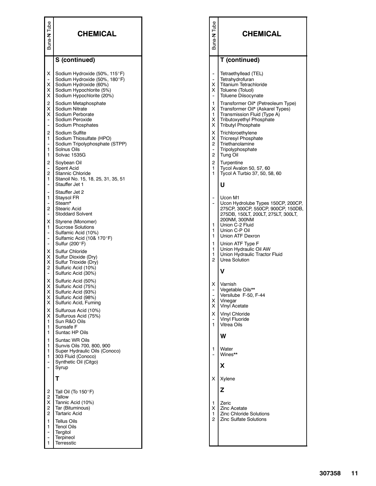| Tube<br>Buna-N                                                                                  | <b>CHEMICAL</b>                                                                                                                                   | Tube<br>Buna-N                                                             | <b>CHEMICAL</b>                                                                                                                                                |
|-------------------------------------------------------------------------------------------------|---------------------------------------------------------------------------------------------------------------------------------------------------|----------------------------------------------------------------------------|----------------------------------------------------------------------------------------------------------------------------------------------------------------|
|                                                                                                 | S (continued)                                                                                                                                     |                                                                            | T (continued)                                                                                                                                                  |
| х<br>х<br>х<br>х                                                                                | Sodium Hydroxide (50%, 115°F)<br>Sodium Hydroxide (50%, 180°F)<br>Sodium Hydroxide (60%)<br>Sodium Hypochlorite (5%)<br>Sodium Hypochlorite (20%) | $\ddot{\phantom{0}}$<br>۰<br>$\times$<br>$\times$<br>$\tilde{\phantom{a}}$ | Tetraethyllead (TEL)<br>Tetrahydrofuran<br>Titanium Tetrachloride<br>Toluene (Toluol)<br><b>Toluene Diisocynate</b>                                            |
| 2<br>х<br>х<br>$\qquad \qquad \blacksquare$<br>$\overline{a}$                                   | Sodium Metaphosphate<br>Sodium Nitrate<br>Sodium Perborate<br>Sodium Peroxide<br>Sodium Phosphates                                                | 1<br>X.<br>1.<br>X.<br>$\times$                                            | Transformer Oil* (Petreoleum Type)<br>Transformer Oil* (Askarel Types)<br>Transmission Fluid (Type A)<br>Tributoxyethyl Phosphate<br><b>Tributyl Phosphate</b> |
| 2<br>1<br>-<br>1<br>1                                                                           | Sodium Sulfite<br>Sodium Thiosulfate (HPO)<br>Sodium Tripolyphosphate (STPP)<br>Solnus Oils<br>Solvac 1535G                                       | X.<br>X<br>2 <sup>1</sup><br>$\ddot{\phantom{0}}$<br>$\overline{2}$        | Trichloroethylene<br><b>Tricresyl Phosphate</b><br>Triethanolamine<br>Tripolyphosphate<br><b>Tung Oil</b>                                                      |
| 2<br>2<br>1                                                                                     | Soybean Oil<br>Spent Acid<br>Stannic Chloride<br>Stanoil No. 15, 18, 25, 31, 35, 51                                                               | $\overline{c}$<br>1<br>1                                                   | Turpentine<br>Tycol Avalon 50, 57, 60<br>Tycol A Turbio 37, 50, 58, 60                                                                                         |
| $\overline{\phantom{0}}$<br>$\overline{\phantom{a}}$<br>1<br>$\overline{\phantom{0}}$<br>2      | Stauffer Jet 1<br>Stauffer Jet 2<br>Staysol FR<br>Steam*<br><b>Stearic Acid</b>                                                                   | $\overline{a}$                                                             | U<br>Ucon M1<br>Ucon Hydrolube Types 150CP, 200CP,<br>275CP, 300CP, 550CP, 900CP, 150DB,                                                                       |
| -<br>х<br>1<br>$\overline{\phantom{a}}$<br>$\overline{\phantom{0}}$<br>$\overline{\phantom{0}}$ | <b>Stoddard Solvent</b><br>Styrene (Monomer)<br><b>Sucrose Solutions</b><br>Sulfamic Acid (10%)<br>Sulfamic Acid (10& 170°F)<br>Sulfur (200°F)    | 1<br>1<br>1<br>1                                                           | 275DB, 150LT, 200LT, 275LT, 300LT,<br>200NM, 300NM<br>Union C-2 Fluid<br>Union C-P Oil<br>Union ATF Dexron<br>Union ATF Type F                                 |
| х<br>х<br>X I<br>2<br>$\overline{\phantom{a}}$                                                  | Sulfur Chloride<br>Sulfur Dioxide (Dry)<br>Sulfur Trioxide (Dry)<br>Sulfuric Acid (10%)<br>Sulfuric Acid (30%)                                    | 1<br>1<br>$\overline{2}$                                                   | Union Hydraulic Oil AW<br>Union Hydraulic Tractor Fluid<br>Urea Solution<br>v                                                                                  |
| х<br>х<br>X<br>х<br>X.                                                                          | Sulfuric Acid (50%)<br>Sulfuric Acid (75%)<br>Sulfuric Acid (93%)<br>Sulfuric Acid (98%)<br>Sulfuric Acid, Fuming                                 | X<br>X<br>$\times$ 1                                                       | Varnish<br>Vegetable Oils**<br>Versilube F-50, F-44<br>Vinegar<br>Vinyl Acetate                                                                                |
| X<br>x<br>1<br>1<br>1                                                                           | Sulfurous Acid (10%)<br>Sulfurous Acid (75%)<br>Sun R&O Oils<br>Sunsafe F<br>Suntac HP Oils                                                       | X.<br>$\ddot{\phantom{1}}$<br>1                                            | <b>Vinvl Chloride</b><br>Vinyl Fluoride<br>Vitrea Oils                                                                                                         |
| 1<br>1<br>1<br>1<br>$\overline{\phantom{0}}$<br>-                                               | <b>Suntac WR Oils</b><br>Sunvis Oils 700, 800, 900<br>Super Hydraulic Oils (Conoco)<br>303 Fluid (Conoco)<br>Synthetic Oil (Citgo)<br>Syrup       | 1                                                                          | W<br>Water<br>Wines**<br>X                                                                                                                                     |
|                                                                                                 | т                                                                                                                                                 | X                                                                          | Xylene                                                                                                                                                         |
| 2<br>$\overline{c}$<br>х<br>2<br>2                                                              | Tall Oil (To 150°F)<br>Tallow<br>Tannic Acid (10%)<br>Tar (Bituminous)<br><b>Tartaric Acid</b>                                                    | $\mathbf{1}$<br>X<br>1                                                     | Z<br>Zeric<br><b>Zinc Acetate</b><br><b>Zinc Chloride Solutions</b>                                                                                            |
| 1<br>1<br>-<br>-<br>1                                                                           | <b>Tellus Oils</b><br><b>Tenol Oils</b><br>Tergitol<br>Terpineol<br><b>Terresstic</b>                                                             | $\overline{2}$                                                             | <b>Zinc Sulfate Solutions</b>                                                                                                                                  |